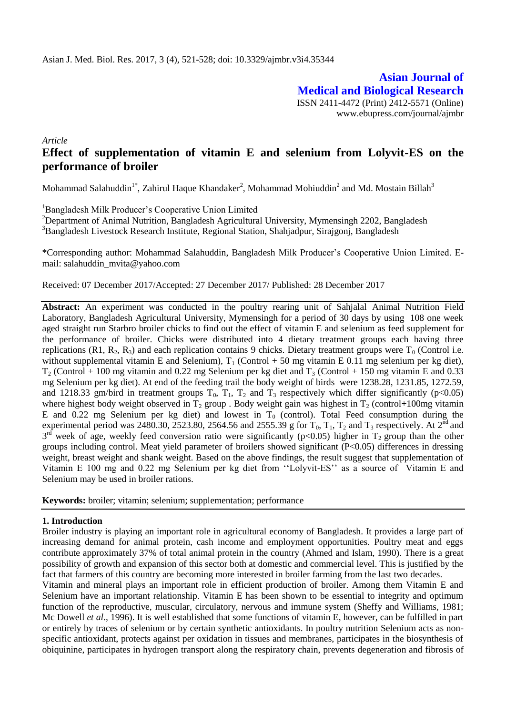**Asian Journal of Medical and Biological Research** ISSN 2411-4472 (Print) 2412-5571 (Online) www.ebupress.com/journal/ajmbr

*Article*

# **Effect of supplementation of vitamin E and selenium from Lolyvit-ES on the performance of broiler**

Mohammad Salahuddin<sup>1\*</sup>, Zahirul Haque Khandaker<sup>2</sup>, Mohammad Mohiuddin<sup>2</sup> and Md. Mostain Billah<sup>3</sup>

<sup>1</sup>Bangladesh Milk Producer's Cooperative Union Limited

<sup>2</sup>Department of Animal Nutrition, Bangladesh Agricultural University, Mymensingh 2202, Bangladesh <sup>3</sup>Bangladesh Livestock Research Institute, Regional Station, Shahjadpur, Sirajgonj, Bangladesh

\*Corresponding author: Mohammad Salahuddin, Bangladesh Milk Producer's Cooperative Union Limited. Email: salahuddin\_mvita@yahoo.com

Received: 07 December 2017/Accepted: 27 December 2017/ Published: 28 December 2017

**Abstract:** An experiment was conducted in the poultry rearing unit of Sahjalal Animal Nutrition Field Laboratory, Bangladesh Agricultural University, Mymensingh for a period of 30 days by using 108 one week aged straight run Starbro broiler chicks to find out the effect of vitamin E and selenium as feed supplement for the performance of broiler. Chicks were distributed into 4 dietary treatment groups each having three replications (R1, R<sub>2</sub>, R<sub>3</sub>) and each replication contains 9 chicks. Dietary treatment groups were  $T_0$  (Control i.e. without supplemental vitamin E and Selenium),  $T_1$  (Control + 50 mg vitamin E 0.11 mg selenium per kg diet),  $T_2$  (Control + 100 mg vitamin and 0.22 mg Selenium per kg diet and  $T_3$  (Control + 150 mg vitamin E and 0.33 mg Selenium per kg diet). At end of the feeding trail the body weight of birds were 1238.28, 1231.85, 1272.59, and 1218.33 gm/bird in treatment groups  $T_0$ ,  $T_1$ ,  $T_2$  and  $T_3$  respectively which differ significantly (p<0.05) where highest body weight observed in  $T_2$  group . Body weight gain was highest in  $T_2$  (control+100mg vitamin E and 0.22 mg Selenium per kg diet) and lowest in  $T_0$  (control). Total Feed consumption during the experimental period was 2480.30, 2523.80, 2564.56 and 2555.39 g for  $T_0$ ,  $T_1$ ,  $T_2$  and  $T_3$  respectively. At  $2^{nd}$  and  $3<sup>rd</sup>$  week of age, weekly feed conversion ratio were significantly (p<0.05) higher in T<sub>2</sub> group than the other groups including control. Meat yield parameter of broilers showed significant (P<0.05) differences in dressing weight, breast weight and shank weight. Based on the above findings, the result suggest that supplementation of Vitamin E 100 mg and 0.22 mg Selenium per kg diet from ''Lolyvit-ES'' as a source of Vitamin E and Selenium may be used in broiler rations.

**Keywords:** broiler; vitamin; selenium; supplementation; performance

### **1. Introduction**

Broiler industry is playing an important role in agricultural economy of Bangladesh. It provides a large part of increasing demand for animal protein, cash income and employment opportunities. Poultry meat and eggs contribute approximately 37% of total animal protein in the country (Ahmed and Islam, 1990). There is a great possibility of growth and expansion of this sector both at domestic and commercial level. This is justified by the fact that farmers of this country are becoming more interested in broiler farming from the last two decades.

Vitamin and mineral plays an important role in efficient production of broiler. Among them Vitamin E and Selenium have an important relationship. Vitamin E has been shown to be essential to integrity and optimum function of the reproductive, muscular, circulatory, nervous and immune system (Sheffy and Williams, 1981; Mc Dowell *et al*., 1996). It is well established that some functions of vitamin E, however, can be fulfilled in part or entirely by traces of selenium or by certain synthetic antioxidants. In poultry nutrition Selenium acts as nonspecific antioxidant, protects against per oxidation in tissues and membranes, participates in the biosynthesis of obiquinine, participates in hydrogen transport along the respiratory chain, prevents degeneration and fibrosis of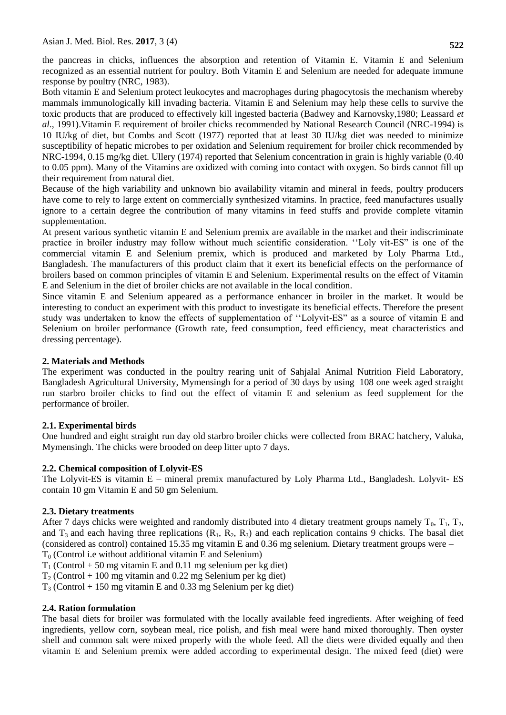the pancreas in chicks, influences the absorption and retention of Vitamin E. Vitamin E and Selenium recognized as an essential nutrient for poultry. Both Vitamin E and Selenium are needed for adequate immune response by poultry (NRC, 1983).

Both vitamin E and Selenium protect leukocytes and macrophages during phagocytosis the mechanism whereby mammals immunologically kill invading bacteria. Vitamin E and Selenium may help these cells to survive the toxic products that are produced to effectively kill ingested bacteria (Badwey and Karnovsky,1980; Leassard *et al*., 1991).Vitamin E requirement of broiler chicks recommended by National Research Council (NRC-1994) is 10 IU/kg of diet, but Combs and Scott (1977) reported that at least 30 IU/kg diet was needed to minimize susceptibility of hepatic microbes to per oxidation and Selenium requirement for broiler chick recommended by NRC-1994, 0.15 mg/kg diet. Ullery (1974) reported that Selenium concentration in grain is highly variable (0.40 to 0.05 ppm). Many of the Vitamins are oxidized with coming into contact with oxygen. So birds cannot fill up their requirement from natural diet.

Because of the high variability and unknown bio availability vitamin and mineral in feeds, poultry producers have come to rely to large extent on commercially synthesized vitamins. In practice, feed manufactures usually ignore to a certain degree the contribution of many vitamins in feed stuffs and provide complete vitamin supplementation.

At present various synthetic vitamin E and Selenium premix are available in the market and their indiscriminate practice in broiler industry may follow without much scientific consideration. ''Loly vit-ES" is one of the commercial vitamin E and Selenium premix, which is produced and marketed by Loly Pharma Ltd., Bangladesh. The manufacturers of this product claim that it exert its beneficial effects on the performance of broilers based on common principles of vitamin E and Selenium. Experimental results on the effect of Vitamin E and Selenium in the diet of broiler chicks are not available in the local condition.

Since vitamin E and Selenium appeared as a performance enhancer in broiler in the market. It would be interesting to conduct an experiment with this product to investigate its beneficial effects. Therefore the present study was undertaken to know the effects of supplementation of ''Lolyvit-ES" as a source of vitamin E and Selenium on broiler performance (Growth rate, feed consumption, feed efficiency, meat characteristics and dressing percentage).

### **2. Materials and Methods**

The experiment was conducted in the poultry rearing unit of Sahjalal Animal Nutrition Field Laboratory, Bangladesh Agricultural University, Mymensingh for a period of 30 days by using 108 one week aged straight run starbro broiler chicks to find out the effect of vitamin E and selenium as feed supplement for the performance of broiler.

## **2.1. Experimental birds**

One hundred and eight straight run day old starbro broiler chicks were collected from BRAC hatchery, Valuka, Mymensingh. The chicks were brooded on deep litter upto 7 days.

### **2.2. Chemical composition of Lolyvit-ES**

The Lolyvit-ES is vitamin E – mineral premix manufactured by Loly Pharma Ltd., Bangladesh. Lolyvit- ES contain 10 gm Vitamin E and 50 gm Selenium.

### **2.3. Dietary treatments**

After 7 days chicks were weighted and randomly distributed into 4 dietary treatment groups namely  $T_0$ ,  $T_1$ ,  $T_2$ , and  $T_3$  and each having three replications  $(R_1, R_2, R_3)$  and each replication contains 9 chicks. The basal diet (considered as control) contained 15.35 mg vitamin E and 0.36 mg selenium. Dietary treatment groups were –

 $T<sub>0</sub>$  (Control i.e without additional vitamin E and Selenium)

 $T_1$  (Control + 50 mg vitamin E and 0.11 mg selenium per kg diet)

 $T_2$  (Control + 100 mg vitamin and 0.22 mg Selenium per kg diet)

 $T_3$  (Control + 150 mg vitamin E and 0.33 mg Selenium per kg diet)

### **2.4. Ration formulation**

The basal diets for broiler was formulated with the locally available feed ingredients. After weighing of feed ingredients, yellow corn, soybean meal, rice polish, and fish meal were hand mixed thoroughly. Then oyster shell and common salt were mixed properly with the whole feed. All the diets were divided equally and then vitamin E and Selenium premix were added according to experimental design. The mixed feed (diet) were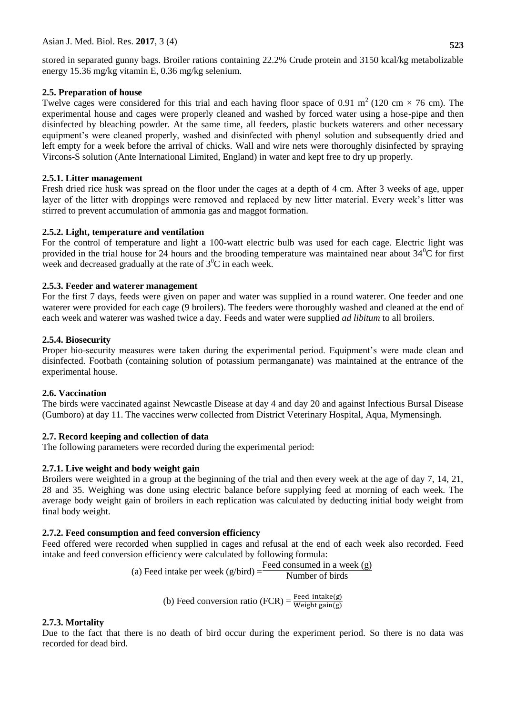stored in separated gunny bags. Broiler rations containing 22.2% Crude protein and 3150 kcal/kg metabolizable energy 15.36 mg/kg vitamin E, 0.36 mg/kg selenium.

### **2.5. Preparation of house**

Twelve cages were considered for this trial and each having floor space of 0.91 m<sup>2</sup> (120 cm  $\times$  76 cm). The experimental house and cages were properly cleaned and washed by forced water using a hose-pipe and then disinfected by bleaching powder. At the same time, all feeders, plastic buckets waterers and other necessary equipment's were cleaned properly, washed and disinfected with phenyl solution and subsequently dried and left empty for a week before the arrival of chicks. Wall and wire nets were thoroughly disinfected by spraying Vircons-S solution (Ante International Limited, England) in water and kept free to dry up properly.

### **2.5.1. Litter management**

Fresh dried rice husk was spread on the floor under the cages at a depth of 4 cm. After 3 weeks of age, upper layer of the litter with droppings were removed and replaced by new litter material. Every week's litter was stirred to prevent accumulation of ammonia gas and maggot formation.

### **2.5.2. Light, temperature and ventilation**

For the control of temperature and light a 100-watt electric bulb was used for each cage. Electric light was provided in the trial house for 24 hours and the brooding temperature was maintained near about  $34^{\circ}$ C for first week and decreased gradually at the rate of  $3^0C$  in each week.

### **2.5.3. Feeder and waterer management**

For the first 7 days, feeds were given on paper and water was supplied in a round waterer. One feeder and one waterer were provided for each cage (9 broilers). The feeders were thoroughly washed and cleaned at the end of each week and waterer was washed twice a day. Feeds and water were supplied *ad libitum* to all broilers.

### **2.5.4. Biosecurity**

Proper bio-security measures were taken during the experimental period. Equipment's were made clean and disinfected. Footbath (containing solution of potassium permanganate) was maintained at the entrance of the experimental house.

## **2.6. Vaccination**

The birds were vaccinated against Newcastle Disease at day 4 and day 20 and against Infectious Bursal Disease (Gumboro) at day 11. The vaccines werw collected from District Veterinary Hospital, Aqua, Mymensingh.

## **2.7. Record keeping and collection of data**

The following parameters were recorded during the experimental period:

## **2.7.1. Live weight and body weight gain**

Broilers were weighted in a group at the beginning of the trial and then every week at the age of day 7, 14, 21, 28 and 35. Weighing was done using electric balance before supplying feed at morning of each week. The average body weight gain of broilers in each replication was calculated by deducting initial body weight from final body weight.

## **2.7.2. Feed consumption and feed conversion efficiency**

Feed offered were recorded when supplied in cages and refusal at the end of each week also recorded. Feed intake and feed conversion efficiency were calculated by following formula:

(a) Feed intake per week 
$$
(g/bird) = \frac{Feed consumed in a week (g)}{Number of birds}
$$

(b) Feed conversion ratio (FCR) =  $\frac{F}{W}$ 

### **2.7.3. Mortality**

Due to the fact that there is no death of bird occur during the experiment period. So there is no data was recorded for dead bird.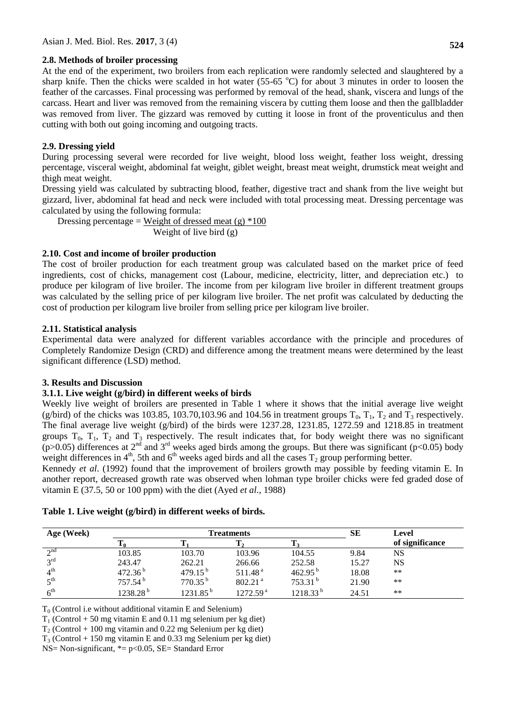### **2.8. Methods of broiler processing**

At the end of the experiment, two broilers from each replication were randomly selected and slaughtered by a sharp knife. Then the chicks were scalded in hot water (55-65  $^{\circ}$ C) for about 3 minutes in order to loosen the feather of the carcasses. Final processing was performed by removal of the head, shank, viscera and lungs of the carcass. Heart and liver was removed from the remaining viscera by cutting them loose and then the gallbladder was removed from liver. The gizzard was removed by cutting it loose in front of the proventiculus and then cutting with both out going incoming and outgoing tracts.

### **2.9. Dressing yield**

During processing several were recorded for live weight, blood loss weight, feather loss weight, dressing percentage, visceral weight, abdominal fat weight, giblet weight, breast meat weight, drumstick meat weight and thigh meat weight.

Dressing yield was calculated by subtracting blood, feather, digestive tract and shank from the live weight but gizzard, liver, abdominal fat head and neck were included with total processing meat. Dressing percentage was calculated by using the following formula:

Dressing percentage = Weight of dressed meat (g)  $*100$ Weight of live bird (g)

## **2.10. Cost and income of broiler production**

The cost of broiler production for each treatment group was calculated based on the market price of feed ingredients, cost of chicks, management cost (Labour, medicine, electricity, litter, and depreciation etc.) to produce per kilogram of live broiler. The income from per kilogram live broiler in different treatment groups was calculated by the selling price of per kilogram live broiler. The net profit was calculated by deducting the cost of production per kilogram live broiler from selling price per kilogram live broiler.

### **2.11. Statistical analysis**

Experimental data were analyzed for different variables accordance with the principle and procedures of Completely Randomize Design (CRD) and difference among the treatment means were determined by the least significant difference (LSD) method.

### **3. Results and Discussion**

### **3.1.1. Live weight (g/bird) in different weeks of birds**

Weekly live weight of broilers are presented in Table 1 where it shows that the initial average live weight (g/bird) of the chicks was 103.85, 103.70,103.96 and 104.56 in treatment groups  $T_0$ ,  $T_1$ ,  $T_2$  and  $T_3$  respectively. The final average live weight (g/bird) of the birds were 1237.28, 1231.85, 1272.59 and 1218.85 in treatment groups  $T_0$ ,  $T_1$ ,  $T_2$  and  $T_3$  respectively. The result indicates that, for body weight there was no significant (p>0.05) differences at 2<sup>nd</sup> and 3<sup>rd</sup> weeks aged birds among the groups. But there was significant (p<0.05) body weight differences in  $4<sup>th</sup>$ , 5th and  $6<sup>th</sup>$  weeks aged birds and all the cases  $T_2$  group performing better.

Kennedy *et al*. (1992) found that the improvement of broilers growth may possible by feeding vitamin E. In another report, decreased growth rate was observed when lohman type broiler chicks were fed graded dose of vitamin E (37.5, 50 or 100 ppm) with the diet (Ayed *et al*., 1988)

| Age (Week)                |                      | <b>Treatments</b>      |                       | SЕ            | Level |                 |
|---------------------------|----------------------|------------------------|-----------------------|---------------|-------|-----------------|
|                           | 10                   |                        |                       |               |       | of significance |
| $\lambda$ nd              | 103.85               | 103.70                 | 103.96                | 104.55        | 9.84  | NS              |
| 2rd                       | 243.47               | 262.21                 | 266.66                | 252.58        | 15.27 | NS              |
| $\varDelta$ <sup>th</sup> | 472.36 $^{b}$        | 479.15 $^{\rm b}$      | 511.48 <sup>a</sup>   | $462.95^{b}$  | 18.08 | $***$           |
| $\tau$ th                 | 757.54 <sup>b</sup>  | $770.35^{b}$           | $802.21$ <sup>a</sup> | $753.31^{b}$  | 21.90 | $***$           |
| 6 <sup>th</sup>           | 1238.28 <sup>b</sup> | $1231.85^{\mathrm{b}}$ | 1272.59 <sup>a</sup>  | $1218.33^{b}$ | 24.51 | $***$           |

### **Table 1. Live weight (g/bird) in different weeks of birds.**

 $T<sub>0</sub>$  (Control i.e without additional vitamin E and Selenium)

 $T_1$  (Control + 50 mg vitamin E and 0.11 mg selenium per kg diet)

 $T_2$  (Control + 100 mg vitamin and 0.22 mg Selenium per kg diet)

 $T_3$  (Control + 150 mg vitamin E and 0.33 mg Selenium per kg diet)

NS= Non-significant,  $* = p < 0.05$ , SE= Standard Error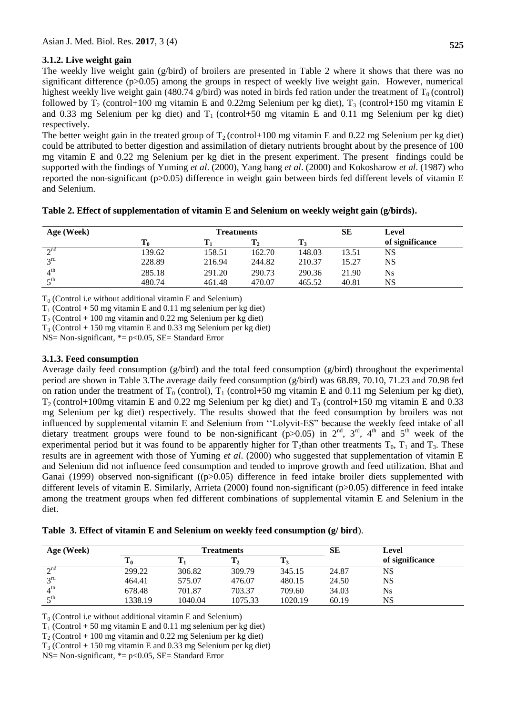### **3.1.2. Live weight gain**

The weekly live weight gain (g/bird) of broilers are presented in Table 2 where it shows that there was no significant difference (p>0.05) among the groups in respect of weekly live weight gain. However, numerical highest weekly live weight gain (480.74 g/bird) was noted in birds fed ration under the treatment of  $T_0$  (control) followed by  $T_2$  (control+100 mg vitamin E and 0.22mg Selenium per kg diet),  $T_3$  (control+150 mg vitamin E and 0.33 mg Selenium per kg diet) and  $T_1$  (control+50 mg vitamin E and 0.11 mg Selenium per kg diet) respectively.

The better weight gain in the treated group of  $T_2$  (control+100 mg vitamin E and 0.22 mg Selenium per kg diet) could be attributed to better digestion and assimilation of dietary nutrients brought about by the presence of 100 mg vitamin E and 0.22 mg Selenium per kg diet in the present experiment. The present findings could be supported with the findings of Yuming *et al*. (2000), Yang hang *et al*. (2000) and Kokosharow *et al*. (1987) who reported the non-significant (p>0.05) difference in weight gain between birds fed different levels of vitamin E and Selenium.

| Age (Week)      | <b>Treatments</b> |        |        |        |       | Level           |
|-----------------|-------------------|--------|--------|--------|-------|-----------------|
|                 |                   |        |        | m      |       | of significance |
| $\lambda$ nd    | 139.62            | 158.51 | 162.70 | 148.03 | 13.51 | NS              |
| 2rd             | 228.89            | 216.94 | 244.82 | 210.37 | 15.27 | NS              |
| $4^{\text{th}}$ | 285.18            | 291.20 | 290.73 | 290.36 | 21.90 | $N_{\rm s}$     |
| $\tau$ th       | 480.74            | 461.48 | 470.07 | 465.52 | 40.81 | <b>NS</b>       |

| Table 2. Effect of supplementation of vitamin E and Selenium on weekly weight gain (g/birds). |  |  |  |
|-----------------------------------------------------------------------------------------------|--|--|--|
|-----------------------------------------------------------------------------------------------|--|--|--|

 $T<sub>0</sub>$  (Control i.e without additional vitamin E and Selenium)

 $T_1$  (Control + 50 mg vitamin E and 0.11 mg selenium per kg diet)

 $T_2$  (Control + 100 mg vitamin and 0.22 mg Selenium per kg diet)

 $T_3$  (Control + 150 mg vitamin E and 0.33 mg Selenium per kg diet)

NS= Non-significant,  $* = p < 0.05$ , SE= Standard Error

#### **3.1.3. Feed consumption**

Average daily feed consumption (g/bird) and the total feed consumption (g/bird) throughout the experimental period are shown in Table 3.The average daily feed consumption (g/bird) was 68.89, 70.10, 71.23 and 70.98 fed on ration under the treatment of  $T_0$  (control),  $T_1$  (control+50 mg vitamin E and 0.11 mg Selenium per kg diet),  $T_2$  (control+100mg vitamin E and 0.22 mg Selenium per kg diet) and  $T_3$  (control+150 mg vitamin E and 0.33 mg Selenium per kg diet) respectively. The results showed that the feed consumption by broilers was not influenced by supplemental vitamin E and Selenium from ''Lolyvit-ES" because the weekly feed intake of all dietary treatment groups were found to be non-significant (p>0.05) in  $2<sup>nd</sup>$ ,  $3<sup>rd</sup>$ ,  $4<sup>th</sup>$  and  $5<sup>th</sup>$  week of the experimental period but it was found to be apparently higher for  $T_2$ than other treatments  $T_0$ ,  $T_1$  and  $T_3$ . These results are in agreement with those of Yuming *et al*. (2000) who suggested that supplementation of vitamin E and Selenium did not influence feed consumption and tended to improve growth and feed utilization. Bhat and Ganai (1999) observed non-significant ( $(p>0.05)$  difference in feed intake broiler diets supplemented with different levels of vitamin E. Similarly, Arrieta (2000) found non-significant (p>0.05) difference in feed intake among the treatment groups when fed different combinations of supplemental vitamin E and Selenium in the diet.

**Table 3. Effect of vitamin E and Selenium on weekly feed consumption (g/ bird**).

| Age (Week)               |                         | <b>freatments</b> |                     |         |       | Level           |
|--------------------------|-------------------------|-------------------|---------------------|---------|-------|-----------------|
|                          | m<br>$\blacktriangle$ 0 |                   | m<br>1 <sub>2</sub> |         |       | of significance |
| $\lambda$ nd             | 299.22                  | 306.82            | 309.79              | 345.15  | 24.87 | NS              |
| $2^{\text{rd}}$          | 464.41                  | 575.07            | 476.07              | 480.15  | 24.50 | NS              |
| $4^{\text{th}}$          | 678.48                  | 701.87            | 703.37              | 709.60  | 34.03 | Ns              |
| $\epsilon$ <sup>th</sup> | 1338.19                 | 1040.04           | 1075.33             | 1020.19 | 60.19 | NS              |

 $T_0$  (Control i.e without additional vitamin E and Selenium)

 $T_1$  (Control + 50 mg vitamin E and 0.11 mg selenium per kg diet)

 $T_2$  (Control + 100 mg vitamin and 0.22 mg Selenium per kg diet)

 $T_3$  (Control + 150 mg vitamin E and 0.33 mg Selenium per kg diet)

 $NS= Non-significant, * = p<0.05, SE= Standard Error$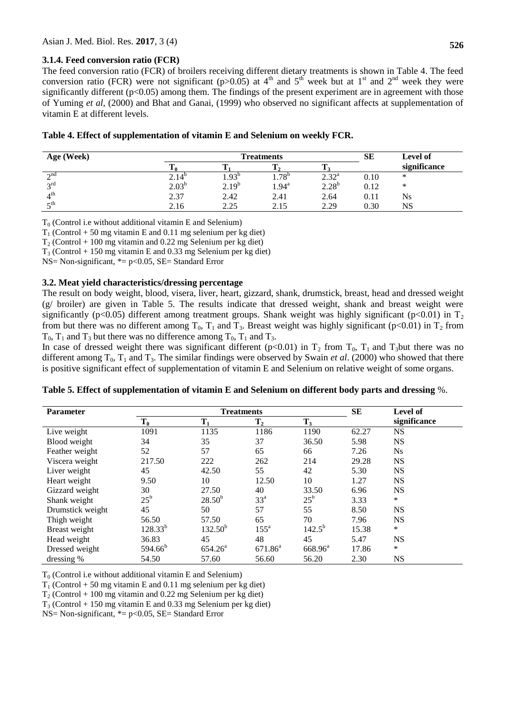#### **3.1.4. Feed conversion ratio (FCR)**

The feed conversion ratio (FCR) of broilers receiving different dietary treatments is shown in Table 4. The feed conversion ratio (FCR) were not significant (p>0.05) at  $4<sup>th</sup>$  and  $5<sup>th</sup>$  week but at  $1<sup>st</sup>$  and  $2<sup>nd</sup>$  week they were significantly different  $(p<0.05)$  among them. The findings of the present experiment are in agreement with those of Yuming *et al*, (2000) and Bhat and Ganai, (1999) who observed no significant affects at supplementation of vitamin E at different levels.

|  |  | Table 4. Effect of supplementation of vitamin E and Selenium on weekly FCR. |  |  |  |  |
|--|--|-----------------------------------------------------------------------------|--|--|--|--|
|--|--|-----------------------------------------------------------------------------|--|--|--|--|

| Age (Week)               |                | <b>Treatments</b> | SЕ                | <b>Level of</b> |      |              |
|--------------------------|----------------|-------------------|-------------------|-----------------|------|--------------|
|                          | πv.            |                   |                   |                 |      | significance |
| $\gamma$ nd              | $2.14^{\circ}$ | $4.93^{b}$        | $1.78^{b}$        | $2.32^{\rm a}$  | 0.10 | ∗            |
| 2rd                      | $2.03^{b}$     | $2.19^{b}$        | $1.94^{\text{a}}$ | $2.28^{b}$      | 0.12 | ∗            |
| 4 <sup>th</sup>          | 2.37           | 2.42              | 2.41              | 2.64            | 0.11 | Ns           |
| $\epsilon$ <sup>th</sup> | 2.16           | 2.25              | 2.15              | 2.29            | 0.30 | NS           |

 $T_0$  (Control i.e without additional vitamin E and Selenium)

 $T_1$  (Control + 50 mg vitamin E and 0.11 mg selenium per kg diet)

 $T_2$  (Control + 100 mg vitamin and 0.22 mg Selenium per kg diet)

 $T_3$  (Control + 150 mg vitamin E and 0.33 mg Selenium per kg diet)

 $NS=$  Non-significant,  $* = p < 0.05$ ,  $SE =$  Standard Error

#### **3.2. Meat yield characteristics/dressing percentage**

The result on body weight, blood, visera, liver, heart, gizzard, shank, drumstick, breast, head and dressed weight (g/ broiler) are given in Table 5. The results indicate that dressed weight, shank and breast weight were significantly (p<0.05) different among treatment groups. Shank weight was highly significant (p<0.01) in  $T_2$ from but there was no different among  $T_0$ ,  $T_1$  and  $T_3$ . Breast weight was highly significant (p<0.01) in  $T_2$  from  $T_0$ ,  $T_1$  and  $T_3$  but there was no difference among  $T_0$ ,  $T_1$  and  $T_3$ .

In case of dressed weight there was significant different ( $p<0.01$ ) in  $T_2$  from  $T_0$ ,  $T_1$  and  $T_3$ but there was no different among  $T_0$ ,  $T_1$  and  $T_3$ . The similar findings were observed by Swain *et al.* (2000) who showed that there is positive significant effect of supplementation of vitamin E and Selenium on relative weight of some organs.

| <b>Parameter</b> |              | <b>Treatments</b>   |                    | SЕ           | Level of |              |
|------------------|--------------|---------------------|--------------------|--------------|----------|--------------|
|                  | $T_0$        | $\mathbf{T}_1$      | $T_{2}$            | $T_3$        |          | significance |
| Live weight      | 1091         | 1135                | 1186               | 1190         | 62.27    | <b>NS</b>    |
| Blood weight     | 34           | 35                  | 37                 | 36.50        | 5.98     | <b>NS</b>    |
| Feather weight   | 52           | 57                  | 65                 | 66           | 7.26     | <b>Ns</b>    |
| Viscera weight   | 217.50       | 222                 | 262                | 214          | 29.28    | <b>NS</b>    |
| Liver weight     | 45           | 42.50               | 55                 | 42           | 5.30     | <b>NS</b>    |
| Heart weight     | 9.50         | 10                  | 12.50              | 10           | 1.27     | <b>NS</b>    |
| Gizzard weight   | 30           | 27.50               | 40                 | 33.50        | 6.96     | <b>NS</b>    |
| Shank weight     | $25^{\rm b}$ | $28.50^{b}$         | 33 <sup>a</sup>    | $25^{\rm b}$ | 3.33     | $\ast$       |
| Drumstick weight | 45           | 50                  | 57                 | 55           | 8.50     | <b>NS</b>    |
| Thigh weight     | 56.50        | 57.50               | 65                 | 70           | 7.96     | <b>NS</b>    |
| Breast weight    | $128.33^{b}$ | $132.50^{b}$        | $155^{\mathrm{a}}$ | $142.5^{b}$  | 15.38    | $\ast$       |
| Head weight      | 36.83        | 45                  | 48                 | 45           | 5.47     | <b>NS</b>    |
| Dressed weight   | $594.66^b$   | 654.26 <sup>a</sup> | $671.86^a$         | $668.96^a$   | 17.86    | $\ast$       |
| dressing %       | 54.50        | 57.60               | 56.60              | 56.20        | 2.30     | <b>NS</b>    |

#### **Table 5. Effect of supplementation of vitamin E and Selenium on different body parts and dressing** %.

 $T<sub>0</sub>$  (Control i.e without additional vitamin E and Selenium)

 $T_1$  (Control + 50 mg vitamin E and 0.11 mg selenium per kg diet)

 $T_2$  (Control + 100 mg vitamin and 0.22 mg Selenium per kg diet)

 $T_3$  (Control + 150 mg vitamin E and 0.33 mg Selenium per kg diet)

NS= Non-significant,  $* = p < 0.05$ , SE= Standard Error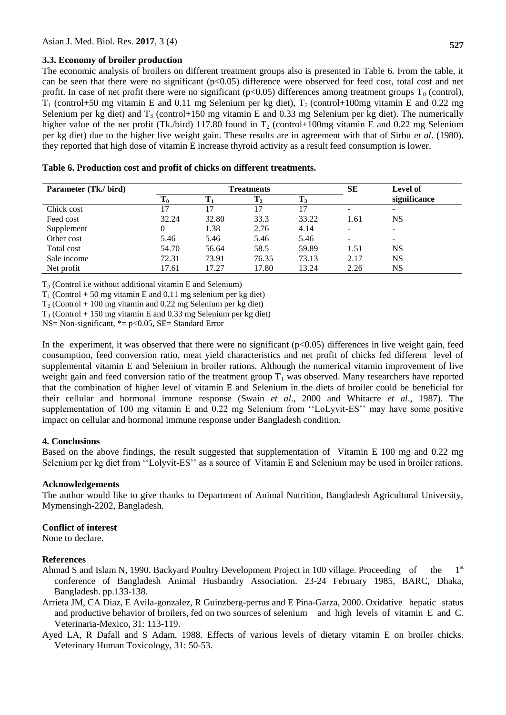#### **3.3. Economy of broiler production**

The economic analysis of broilers on different treatment groups also is presented in Table 6. From the table, it can be seen that there were no significant (p<0.05) difference were observed for feed cost, total cost and net profit. In case of net profit there were no significant ( $p<0.05$ ) differences among treatment groups  $T_0$  (control),  $T_1$  (control+50 mg vitamin E and 0.11 mg Selenium per kg diet),  $T_2$  (control+100mg vitamin E and 0.22 mg Selenium per kg diet) and  $T_3$  (control+150 mg vitamin E and 0.33 mg Selenium per kg diet). The numerically higher value of the net profit (Tk./bird) 117.80 found in  $T_2$  (control+100mg vitamin E and 0.22 mg Selenium per kg diet) due to the higher live weight gain. These results are in agreement with that of Sirbu *et al*. (1980), they reported that high dose of vitamin E increase thyroid activity as a result feed consumption is lower.

| Parameter (Tk./ bird) | <b>Treatments</b> |       |       |       | SE                       | <b>Level of</b>          |
|-----------------------|-------------------|-------|-------|-------|--------------------------|--------------------------|
|                       | 10                |       | Т,    |       |                          | significance             |
| Chick cost            | 17                |       | 17    | 17    | $\overline{\phantom{a}}$ | -                        |
| Feed cost             | 32.24             | 32.80 | 33.3  | 33.22 | 1.61                     | NS                       |
| Supplement            |                   | 1.38  | 2.76  | 4.14  | $\overline{\phantom{a}}$ | $\overline{\phantom{a}}$ |
| Other cost            | 5.46              | 5.46  | 5.46  | 5.46  | $\overline{\phantom{a}}$ | -                        |
| Total cost            | 54.70             | 56.64 | 58.5  | 59.89 | 1.51                     | NS                       |
| Sale income           | 72.31             | 73.91 | 76.35 | 73.13 | 2.17                     | NS                       |
| Net profit            | 17.61             | 17.27 | 17.80 | 13.24 | 2.26                     | NS                       |

| Table 6. Production cost and profit of chicks on different treatments. |  |
|------------------------------------------------------------------------|--|
|------------------------------------------------------------------------|--|

 $T<sub>0</sub>$  (Control i.e without additional vitamin E and Selenium)

 $T_1$  (Control + 50 mg vitamin E and 0.11 mg selenium per kg diet)

 $T_2$  (Control + 100 mg vitamin and 0.22 mg Selenium per kg diet)

 $T_3$  (Control + 150 mg vitamin E and 0.33 mg Selenium per kg diet)

 $NS= Non-significant, * = p<0.05, SE= Standard Error$ 

In the experiment, it was observed that there were no significant  $(p<0.05)$  differences in live weight gain, feed consumption, feed conversion ratio, meat yield characteristics and net profit of chicks fed different level of supplemental vitamin E and Selenium in broiler rations. Although the numerical vitamin improvement of live weight gain and feed conversion ratio of the treatment group  $T_1$  was observed. Many researchers have reported that the combination of higher level of vitamin E and Selenium in the diets of broiler could be beneficial for their cellular and hormonal immune response (Swain *et al*., 2000 and Whitacre *et al*., 1987). The supplementation of 100 mg vitamin E and 0.22 mg Selenium from ''LoLyvit-ES'' may have some positive impact on cellular and hormonal immune response under Bangladesh condition.

### **4. Conclusions**

Based on the above findings, the result suggested that supplementation of Vitamin E 100 mg and 0.22 mg Selenium per kg diet from ''Lolyvit-ES'' as a source of Vitamin E and Selenium may be used in broiler rations.

### **Acknowledgements**

The author would like to give thanks to Department of Animal Nutrition, Bangladesh Agricultural University, Mymensingh-2202, Bangladesh.

### **Conflict of interest**

None to declare.

### **References**

- Ahmad S and Islam N, 1990. Backyard Poultry Development Project in 100 village. Proceeding of the 1<sup>st</sup> conference of Bangladesh Animal Husbandry Association. 23-24 February 1985, BARC, Dhaka, Bangladesh. pp.133-138.
- Arrieta JM, CA Diaz, E Avila-gonzalez, R Guinzberg-perrus and E Pina-Garza, 2000. Oxidative hepatic status and productive behavior of broilers, fed on two sources of selenium and high levels of vitamin E and C. Veterinaria-Mexico, 31: 113-119.
- Ayed LA, R Dafall and S Adam, 1988. Effects of various levels of dietary vitamin E on broiler chicks. Veterinary Human Toxicology, 31: 50-53.